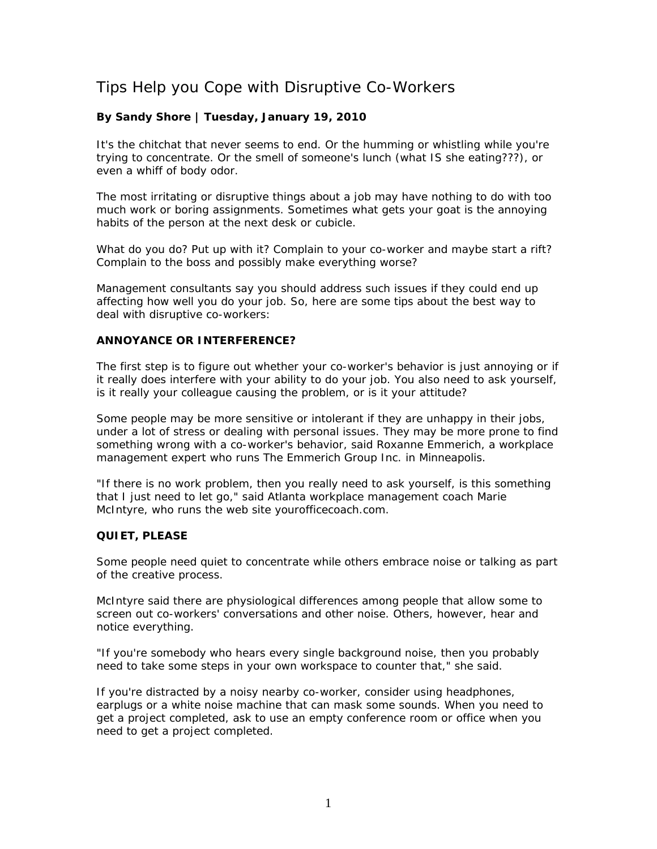# Tips Help you Cope with Disruptive Co-Workers

## **By Sandy Shore | Tuesday, January 19, 2010**

It's the chitchat that never seems to end. Or the humming or whistling while you're trying to concentrate. Or the smell of someone's lunch (what IS she eating???), or even a whiff of body odor.

The most irritating or disruptive things about a job may have nothing to do with too much work or boring assignments. Sometimes what gets your goat is the annoying habits of the person at the next desk or cubicle.

What do you do? Put up with it? Complain to your co-worker and maybe start a rift? Complain to the boss and possibly make everything worse?

Management consultants say you should address such issues if they could end up affecting how well you do your job. So, here are some tips about the best way to deal with disruptive co-workers:

#### **ANNOYANCE OR INTERFERENCE?**

The first step is to figure out whether your co-worker's behavior is just annoying or if it really does interfere with your ability to do your job. You also need to ask yourself, is it really your colleague causing the problem, or is it your attitude?

Some people may be more sensitive or intolerant if they are unhappy in their jobs, under a lot of stress or dealing with personal issues. They may be more prone to find something wrong with a co-worker's behavior, said Roxanne Emmerich, a workplace management expert who runs The Emmerich Group Inc. in Minneapolis.

"If there is no work problem, then you really need to ask yourself, is this something that I just need to let go," said Atlanta workplace management coach Marie McIntyre, who runs the web site yourofficecoach.com.

#### **QUIET, PLEASE**

Some people need quiet to concentrate while others embrace noise or talking as part of the creative process.

McIntyre said there are physiological differences among people that allow some to screen out co-workers' conversations and other noise. Others, however, hear and notice everything.

"If you're somebody who hears every single background noise, then you probably need to take some steps in your own workspace to counter that," she said.

If you're distracted by a noisy nearby co-worker, consider using headphones, earplugs or a white noise machine that can mask some sounds. When you need to get a project completed, ask to use an empty conference room or office when you need to get a project completed.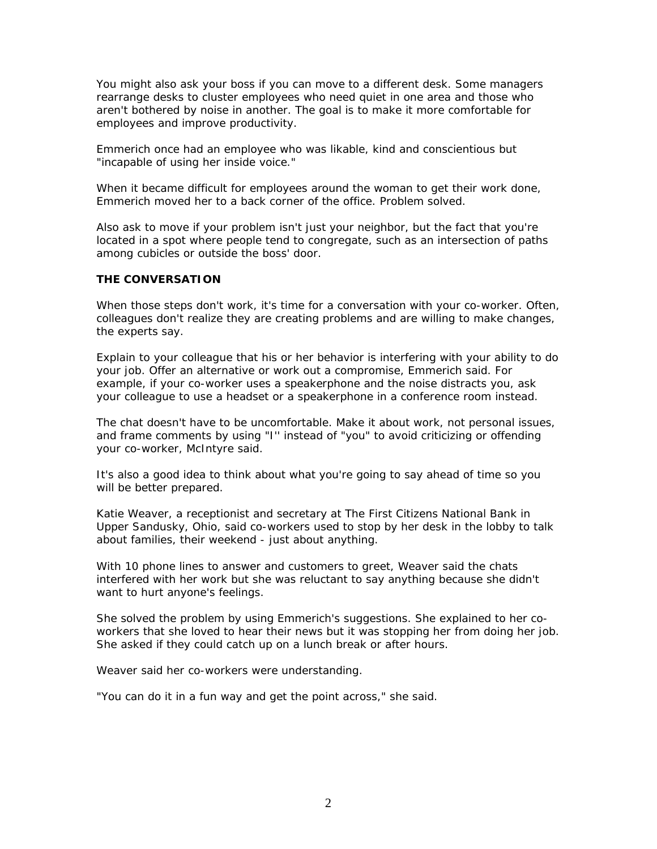You might also ask your boss if you can move to a different desk. Some managers rearrange desks to cluster employees who need quiet in one area and those who aren't bothered by noise in another. The goal is to make it more comfortable for employees and improve productivity.

Emmerich once had an employee who was likable, kind and conscientious but "incapable of using her inside voice."

When it became difficult for employees around the woman to get their work done, Emmerich moved her to a back corner of the office. Problem solved.

Also ask to move if your problem isn't just your neighbor, but the fact that you're located in a spot where people tend to congregate, such as an intersection of paths among cubicles or outside the boss' door.

#### **THE CONVERSATION**

When those steps don't work, it's time for a conversation with your co-worker. Often, colleagues don't realize they are creating problems and are willing to make changes, the experts say.

Explain to your colleague that his or her behavior is interfering with your ability to do your job. Offer an alternative or work out a compromise, Emmerich said. For example, if your co-worker uses a speakerphone and the noise distracts you, ask your colleague to use a headset or a speakerphone in a conference room instead.

The chat doesn't have to be uncomfortable. Make it about work, not personal issues, and frame comments by using "I'' instead of "you" to avoid criticizing or offending your co-worker, McIntyre said.

It's also a good idea to think about what you're going to say ahead of time so you will be better prepared.

Katie Weaver, a receptionist and secretary at The First Citizens National Bank in Upper Sandusky, Ohio, said co-workers used to stop by her desk in the lobby to talk about families, their weekend - just about anything.

With 10 phone lines to answer and customers to greet, Weaver said the chats interfered with her work but she was reluctant to say anything because she didn't want to hurt anyone's feelings.

She solved the problem by using Emmerich's suggestions. She explained to her coworkers that she loved to hear their news but it was stopping her from doing her job. She asked if they could catch up on a lunch break or after hours.

Weaver said her co-workers were understanding.

"You can do it in a fun way and get the point across," she said.